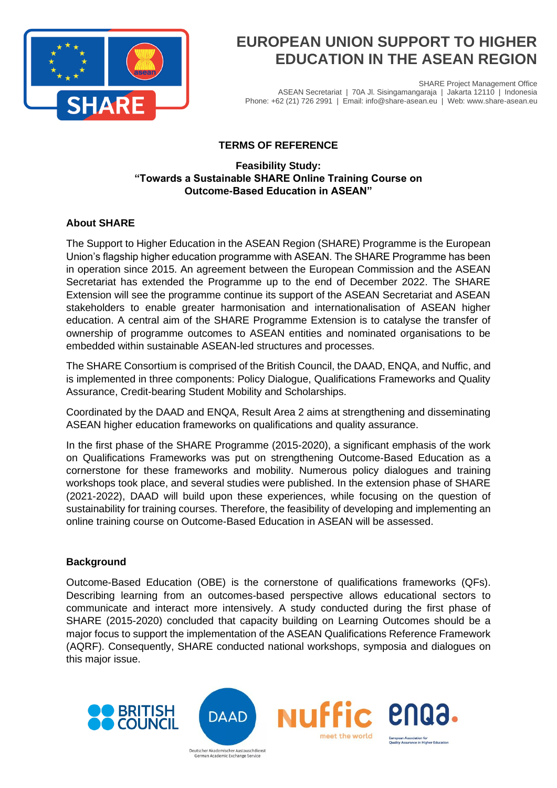

SHARE Project Management Office ASEAN Secretariat | 70A Jl. Sisingamangaraja | Jakarta 12110 | Indonesia Phone: +62 (21) 726 2991 | Email: info@share-asean.eu | Web: www.share-asean.eu

## **TERMS OF REFERENCE**

### **Feasibility Study: "Towards a Sustainable SHARE Online Training Course on Outcome-Based Education in ASEAN"**

## **About SHARE**

The Support to Higher Education in the ASEAN Region (SHARE) Programme is the European Union's flagship higher education programme with ASEAN. The SHARE Programme has been in operation since 2015. An agreement between the European Commission and the ASEAN Secretariat has extended the Programme up to the end of December 2022. The SHARE Extension will see the programme continue its support of the ASEAN Secretariat and ASEAN stakeholders to enable greater harmonisation and internationalisation of ASEAN higher education. A central aim of the SHARE Programme Extension is to catalyse the transfer of ownership of programme outcomes to ASEAN entities and nominated organisations to be embedded within sustainable ASEAN-led structures and processes.

The SHARE Consortium is comprised of the British Council, the DAAD, ENQA, and Nuffic, and is implemented in three components: Policy Dialogue, Qualifications Frameworks and Quality Assurance, Credit-bearing Student Mobility and Scholarships.

Coordinated by the DAAD and ENQA, Result Area 2 aims at strengthening and disseminating ASEAN higher education frameworks on qualifications and quality assurance.

In the first phase of the SHARE Programme (2015-2020), a significant emphasis of the work on Qualifications Frameworks was put on strengthening Outcome-Based Education as a cornerstone for these frameworks and mobility. Numerous policy dialogues and training workshops took place, and several studies were published. In the extension phase of SHARE (2021-2022), DAAD will build upon these experiences, while focusing on the question of sustainability for training courses. Therefore, the feasibility of developing and implementing an online training course on Outcome-Based Education in ASEAN will be assessed.

### **Background**

Outcome-Based Education (OBE) is the cornerstone of qualifications frameworks (QFs). Describing learning from an outcomes-based perspective allows educational sectors to communicate and interact more intensively. A study conducted during the first phase of SHARE (2015-2020) concluded that capacity building on Learning Outcomes should be a major focus to support the implementation of the ASEAN Qualifications Reference Framework (AQRF). Consequently, SHARE conducted national workshops, symposia and dialogues on this major issue.

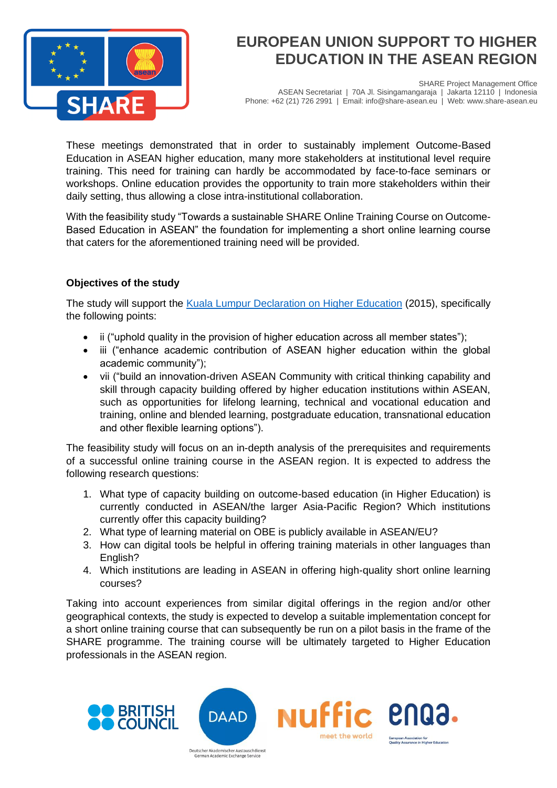

SHARE Project Management Office ASEAN Secretariat | 70A Jl. Sisingamangaraja | Jakarta 12110 | Indonesia Phone: +62 (21) 726 2991 | Email: info@share-asean.eu | Web: www.share-asean.eu

These meetings demonstrated that in order to sustainably implement Outcome-Based Education in ASEAN higher education, many more stakeholders at institutional level require training. This need for training can hardly be accommodated by face-to-face seminars or workshops. Online education provides the opportunity to train more stakeholders within their daily setting, thus allowing a close intra-institutional collaboration.

With the feasibility study "Towards a sustainable SHARE Online Training Course on Outcome-Based Education in ASEAN" the foundation for implementing a short online learning course that caters for the aforementioned training need will be provided.

### **Objectives of the study**

The study will support the [Kuala Lumpur Declaration on Higher Education](https://www.asean.org/wp-content/uploads/images/2015/November/27th-summit/ASCC_documents/ASEAN%20Declaration%20on%20Higher%20EducationAdopted.pdf) (2015), specifically the following points:

- ii ("uphold quality in the provision of higher education across all member states");
- iii ("enhance academic contribution of ASEAN higher education within the global academic community");
- vii ("build an innovation-driven ASEAN Community with critical thinking capability and skill through capacity building offered by higher education institutions within ASEAN, such as opportunities for lifelong learning, technical and vocational education and training, online and blended learning, postgraduate education, transnational education and other flexible learning options").

The feasibility study will focus on an in-depth analysis of the prerequisites and requirements of a successful online training course in the ASEAN region. It is expected to address the following research questions:

- 1. What type of capacity building on outcome-based education (in Higher Education) is currently conducted in ASEAN/the larger Asia-Pacific Region? Which institutions currently offer this capacity building?
- 2. What type of learning material on OBE is publicly available in ASEAN/EU?
- 3. How can digital tools be helpful in offering training materials in other languages than English?
- 4. Which institutions are leading in ASEAN in offering high-quality short online learning courses?

Taking into account experiences from similar digital offerings in the region and/or other geographical contexts, the study is expected to develop a suitable implementation concept for a short online training course that can subsequently be run on a pilot basis in the frame of the SHARE programme. The training course will be ultimately targeted to Higher Education professionals in the ASEAN region.

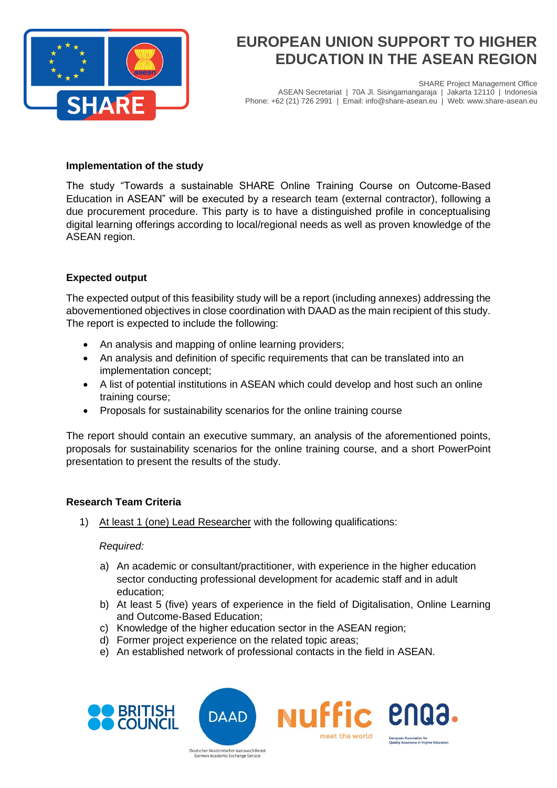

SHARE Project Management Office ASEAN Secretariat | 70A Jl. Sisingamangaraja | Jakarta 12110 | Indonesia Phone: +62 (21) 726 2991 | Email: info@share-asean.eu | Web: www.share-asean.eu

#### **Implementation of the study**

The study "Towards a sustainable SHARE Online Training Course on Outcome-Based Education in ASEAN" will be executed by a research team (external contractor), following a due procurement procedure. This party is to have a distinguished profile in conceptualising digital learning offerings according to local/regional needs as well as proven knowledge of the ASEAN region.

### **Expected output**

The expected output of this feasibility study will be a report (including annexes) addressing the abovementioned objectives in close coordination with DAAD as the main recipient of this study. The report is expected to include the following:

- An analysis and mapping of online learning providers;
- An analysis and definition of specific requirements that can be translated into an implementation concept;
- A list of potential institutions in ASEAN which could develop and host such an online training course;
- Proposals for sustainability scenarios for the online training course

The report should contain an executive summary, an analysis of the aforementioned points, proposals for sustainability scenarios for the online training course, and a short PowerPoint presentation to present the results of the study.

### **Research Team Criteria**

1) At least 1 (one) Lead Researcher with the following qualifications:

*Required:*

- a) An academic or consultant/practitioner, with experience in the higher education sector conducting professional development for academic staff and in adult education;
- b) At least 5 (five) years of experience in the field of Digitalisation, Online Learning and Outcome-Based Education;
- c) Knowledge of the higher education sector in the ASEAN region;
- d) Former project experience on the related topic areas;

German Academic Exchange Service

e) An established network of professional contacts in the field in ASEAN.



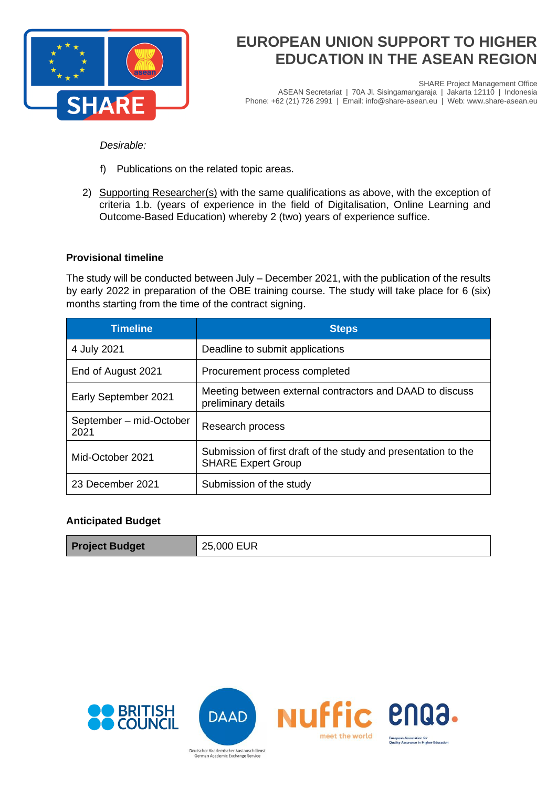

SHARE Project Management Office ASEAN Secretariat | 70A Jl. Sisingamangaraja | Jakarta 12110 | Indonesia Phone: +62 (21) 726 2991 | Email: info@share-asean.eu | Web: www.share-asean.eu

*Desirable:*

- f) Publications on the related topic areas.
- 2) Supporting Researcher(s) with the same qualifications as above, with the exception of criteria 1.b. (years of experience in the field of Digitalisation, Online Learning and Outcome-Based Education) whereby 2 (two) years of experience suffice.

#### **Provisional timeline**

The study will be conducted between July – December 2021, with the publication of the results by early 2022 in preparation of the OBE training course. The study will take place for 6 (six) months starting from the time of the contract signing.

| <b>Timeline</b>                 | <b>Steps</b>                                                                                |
|---------------------------------|---------------------------------------------------------------------------------------------|
| 4 July 2021                     | Deadline to submit applications                                                             |
| End of August 2021              | Procurement process completed                                                               |
| Early September 2021            | Meeting between external contractors and DAAD to discuss<br>preliminary details             |
| September - mid-October<br>2021 | Research process                                                                            |
| Mid-October 2021                | Submission of first draft of the study and presentation to the<br><b>SHARE Expert Group</b> |
| 23 December 2021                | Submission of the study                                                                     |

#### **Anticipated Budget**

| <b>Project Budget</b> | 25,000 EUR |
|-----------------------|------------|
|-----------------------|------------|





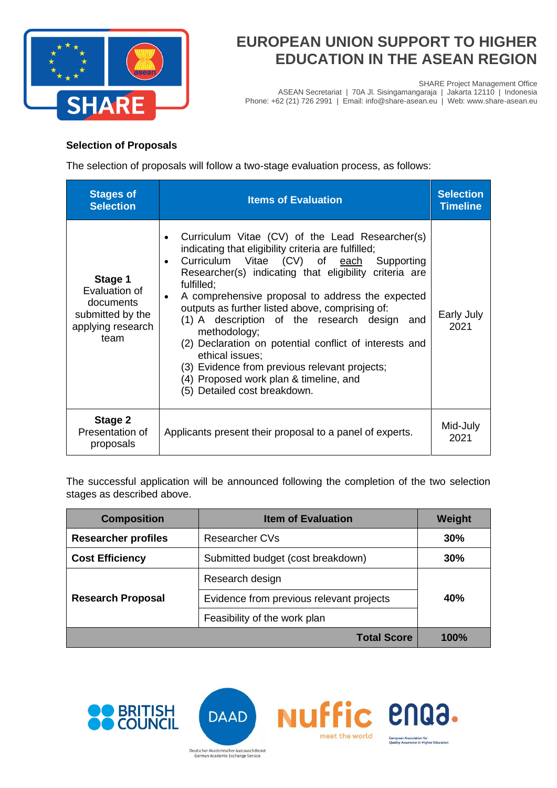

SHARE Project Management Office

ASEAN Secretariat | 70A Jl. Sisingamangaraja | Jakarta 12110 | Indonesia Phone: +62 (21) 726 2991 | Email: info@share-asean.eu | Web: www.share-asean.eu

### **Selection of Proposals**

The selection of proposals will follow a two-stage evaluation process, as follows:

| <b>Stages of</b><br><b>Selection</b>                                                   | <b>Items of Evaluation</b>                                                                                                                                                                                                                                                                                                                                                                                                                                                                                                                                                                                                                       | <b>Selection</b><br><b>Timeline</b> |
|----------------------------------------------------------------------------------------|--------------------------------------------------------------------------------------------------------------------------------------------------------------------------------------------------------------------------------------------------------------------------------------------------------------------------------------------------------------------------------------------------------------------------------------------------------------------------------------------------------------------------------------------------------------------------------------------------------------------------------------------------|-------------------------------------|
| Stage 1<br>Evaluation of<br>documents<br>submitted by the<br>applying research<br>team | Curriculum Vitae (CV) of the Lead Researcher(s)<br>$\bullet$<br>indicating that eligibility criteria are fulfilled;<br>Curriculum Vitae (CV) of each Supporting<br>$\bullet$<br>Researcher(s) indicating that eligibility criteria are<br>fulfilled:<br>A comprehensive proposal to address the expected<br>$\bullet$<br>outputs as further listed above, comprising of:<br>(1) A description of the research design and<br>methodology;<br>(2) Declaration on potential conflict of interests and<br>ethical issues;<br>(3) Evidence from previous relevant projects;<br>(4) Proposed work plan & timeline, and<br>(5) Detailed cost breakdown. | Early July<br>2021                  |
| Stage 2<br>Presentation of<br>proposals                                                | Applicants present their proposal to a panel of experts.                                                                                                                                                                                                                                                                                                                                                                                                                                                                                                                                                                                         | Mid-July<br>2021                    |

The successful application will be announced following the completion of the two selection stages as described above.

| <b>Composition</b>         | <b>Item of Evaluation</b>                | Weight |
|----------------------------|------------------------------------------|--------|
| <b>Researcher profiles</b> | Researcher CVs                           | 30%    |
| <b>Cost Efficiency</b>     | Submitted budget (cost breakdown)        | 30%    |
| <b>Research Proposal</b>   | Research design                          | 40%    |
|                            | Evidence from previous relevant projects |        |
|                            | Feasibility of the work plan             |        |
|                            | <b>Total Score</b>                       | 100%   |